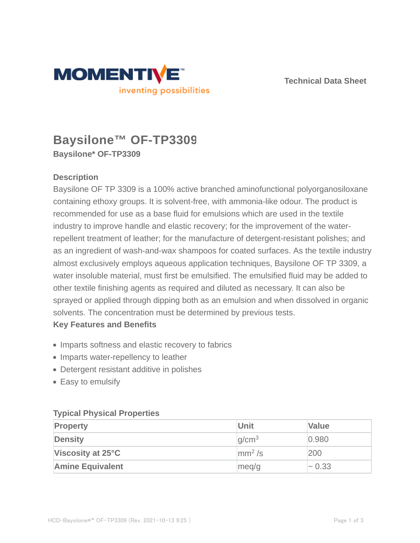



# **Baysilone™ OF-TP3309 Baysilone\* OF-TP3309**

# **Description**

Baysilone OF TP 3309 is a 100% active branched aminofunctional polyorganosiloxane containing ethoxy groups. It is solvent-free, with ammonia-like odour. The product is recommended for use as a base fluid for emulsions which are used in the textile industry to improve handle and elastic recovery; for the improvement of the waterrepellent treatment of leather; for the manufacture of detergent-resistant polishes; and as an ingredient of wash-and-wax shampoos for coated surfaces. As the textile industry almost exclusively employs aqueous application techniques, Baysilone OF TP 3309, a water insoluble material, must first be emulsified. The emulsified fluid may be added to other textile finishing agents as required and diluted as necessary. It can also be sprayed or applied through dipping both as an emulsion and when dissolved in organic solvents. The concentration must be determined by previous tests.

# **Key Features and Benefits**

- Imparts softness and elastic recovery to fabrics
- Imparts water-repellency to leather
- Detergent resistant additive in polishes
- Easy to emulsify

## **Typical Physical Properties**

| <b>Property</b>         | <b>Unit</b>            | <b>Value</b> |
|-------------------------|------------------------|--------------|
| <b>Density</b>          | q/cm <sup>3</sup>      | 0.980        |
| Viscosity at 25°C       | $\text{mm}^2/\text{s}$ | 200          |
| <b>Amine Equivalent</b> | meq/g                  | $\sim 0.33$  |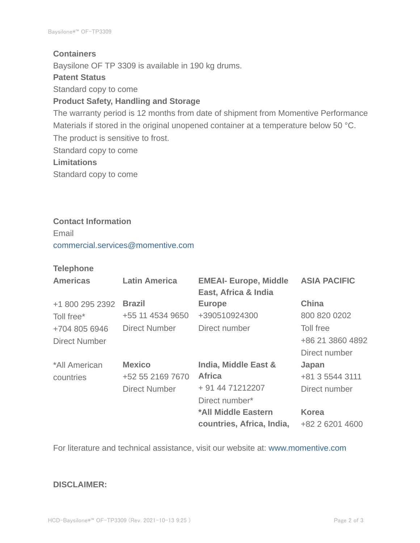### **Containers**

Baysilone OF TP 3309 is available in 190 kg drums.

#### **Patent Status**

Standard copy to come

# **Product Safety, Handling and Storage**

The warranty period is 12 months from date of shipment from Momentive Performance Materials if stored in the original unopened container at a temperature below 50 °C. The product is sensitive to frost. Standard copy to come **Limitations**

Standard copy to come

#### **Contact Information**

Email commercial.services@momentive.com

## **Telephone**

| <b>Americas</b> | <b>Latin America</b> | <b>EMEAI- Europe, Middle</b><br>East, Africa & India | <b>ASIA PACIFIC</b> |
|-----------------|----------------------|------------------------------------------------------|---------------------|
| +1 800 295 2392 | <b>Brazil</b>        | <b>Europe</b>                                        | China               |
| Toll free*      | +55 11 4534 9650     | +390510924300                                        | 800 820 0202        |
| +704 805 6946   | <b>Direct Number</b> | Direct number                                        | Toll free           |
| Direct Number   |                      |                                                      | +86 21 3860 4892    |
|                 |                      |                                                      | Direct number       |
| *All American   | <b>Mexico</b>        | <b>India, Middle East &amp;</b>                      | Japan               |
| countries       | +52 55 2169 7670     | <b>Africa</b>                                        | +81 3 5544 3111     |
|                 | <b>Direct Number</b> | + 91 44 71212207                                     | Direct number       |
|                 |                      | Direct number*                                       |                     |
|                 |                      | *All Middle Eastern                                  | <b>Korea</b>        |
|                 |                      | countries, Africa, India,                            | +82 2 6201 4600     |

For literature and technical assistance, visit our website at: www.momentive.com

### **DISCLAIMER:**